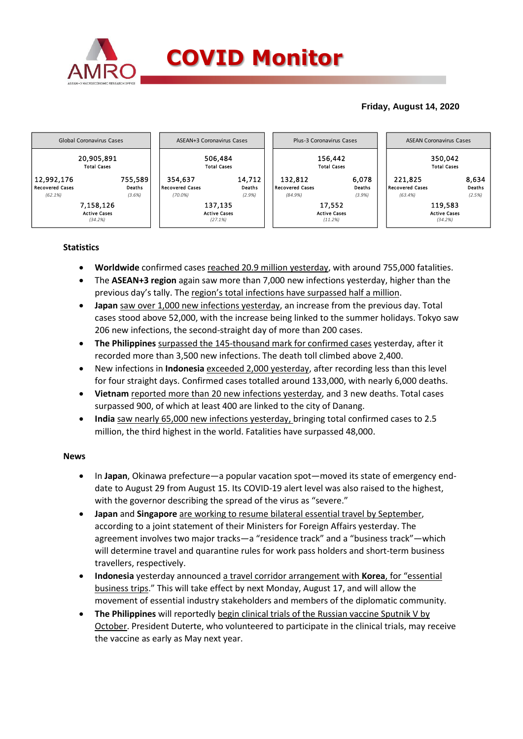

## **Friday, August 14, 2020**



### **Statistics**

- **Worldwide** confirmed cases reached 20.9 million yesterday, with around 755,000 fatalities.
- The **ASEAN+3 region** again saw more than 7,000 new infections yesterday, higher than the previous day's tally. The region's total infections have surpassed half a million.
- **Japan** saw over 1,000 new infections yesterday, an increase from the previous day. Total cases stood above 52,000, with the increase being linked to the summer holidays. Tokyo saw 206 new infections, the second-straight day of more than 200 cases.
- **The Philippines** surpassed the 145-thousand mark for confirmed cases yesterday, after it recorded more than 3,500 new infections. The death toll climbed above 2,400.
- New infections in **Indonesia** exceeded 2,000 yesterday, after recording less than this level for four straight days. Confirmed cases totalled around 133,000, with nearly 6,000 deaths.
- **Vietnam** reported more than 20 new infections yesterday, and 3 new deaths. Total cases surpassed 900, of which at least 400 are linked to the city of Danang.
- **India** saw nearly 65,000 new infections yesterday, bringing total confirmed cases to 2.5 million, the third highest in the world. Fatalities have surpassed 48,000.

### **News**

- In **Japan**, Okinawa prefecture—a popular vacation spot—moved its state of emergency enddate to August 29 from August 15. Its COVID-19 alert level was also raised to the highest, with the governor describing the spread of the virus as "severe."
- **Japan** and **Singapore** are working to resume bilateral essential travel by September, according to a joint statement of their Ministers for Foreign Affairs yesterday. The agreement involves two major tracks—a "residence track" and a "business track"—which will determine travel and quarantine rules for work pass holders and short-term business travellers, respectively.
- **Indonesia** yesterday announced a travel corridor arrangement with **Korea**, for "essential business trips." This will take effect by next Monday, August 17, and will allow the movement of essential industry stakeholders and members of the diplomatic community.
- **The Philippines** will reportedly begin clinical trials of the Russian vaccine Sputnik V by October. President Duterte, who volunteered to participate in the clinical trials, may receive the vaccine as early as May next year.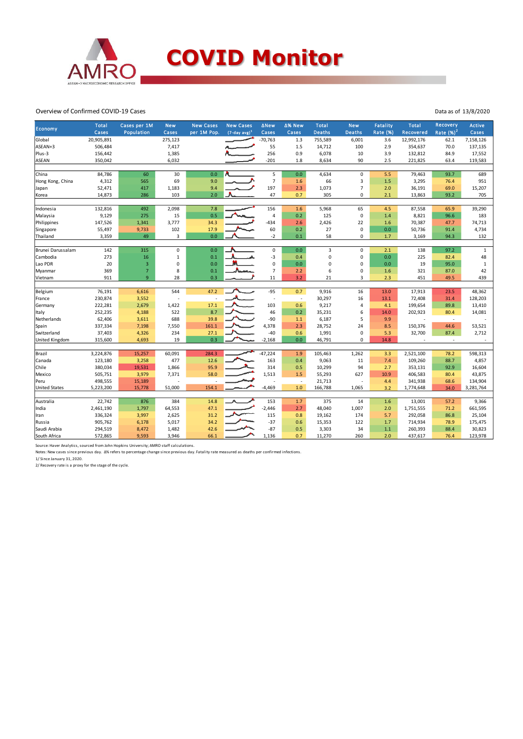

#### Overview of Confirmed COVID-19 Cases

| <b>Economy</b>        | <b>Total</b><br>Cases | Cases per 1M<br>Population | <b>New</b><br>Cases | <b>New Cases</b><br>per 1M Pop. | <b>New Cases</b><br>$(7$ -day avg) <sup>1</sup> | <b>ANew</b><br>Cases | ∆% New<br>Cases          | <b>Total</b><br><b>Deaths</b> | <b>New</b><br><b>Deaths</b> | <b>Fatality</b><br>Rate (%) | <b>Total</b><br>Recovered | Recovery<br>Rate $(\%)^2$ | <b>Active</b><br>Cases |
|-----------------------|-----------------------|----------------------------|---------------------|---------------------------------|-------------------------------------------------|----------------------|--------------------------|-------------------------------|-----------------------------|-----------------------------|---------------------------|---------------------------|------------------------|
| Global                | 20,905,891            |                            | 275,123             |                                 |                                                 | $-70,763$            | 1.3                      | 755,589                       | 6,001                       | 3.6                         | 12,992,176                | 62.1                      | 7,158,126              |
| ASEAN+3               | 506,484               |                            | 7,417               |                                 |                                                 | 55                   | 1.5                      | 14,712                        | 100                         | 2.9                         | 354,637                   | 70.0                      | 137,135                |
| Plus-3                | 156,442               |                            | 1,385               |                                 |                                                 | 256                  | 0.9                      | 6,078                         | 10                          | 3.9                         | 132,812                   | 84.9                      | 17,552                 |
| <b>ASEAN</b>          | 350,042               |                            | 6,032               |                                 |                                                 | $-201$               | 1.8                      | 8,634                         | 90                          | 2.5                         | 221,825                   | 63.4                      | 119,583                |
|                       |                       |                            |                     |                                 |                                                 |                      |                          |                               |                             |                             |                           |                           |                        |
| China                 | 84,786                | 60                         | 30                  | 0.0                             |                                                 | 5                    | 0.0                      | 4,634                         | $\mathbf 0$                 | 5.5                         | 79,463                    | 93.7                      | 689                    |
| Hong Kong, China      | 4,312                 | 565                        | 69                  | 9.0                             |                                                 | $\overline{7}$       | 1.6                      | 66                            | 3                           | 1.5                         | 3,295                     | 76.4                      | 951                    |
| Japan                 | 52,471                | 417                        | 1,183               | 9.4                             |                                                 | 197                  | 2.3                      | 1,073                         | $\overline{7}$              | 2.0                         | 36,191                    | 69.0                      | 15,207                 |
| Korea                 | 14,873                | 286                        | 103                 | 2.0                             |                                                 | 47                   | 0.7                      | 305                           | $\mathbf 0$                 | 2.1                         | 13,863                    | 93.2                      | 705                    |
| Indonesia             | 132,816               | 492                        | 2,098               | 7.8                             |                                                 | 156                  | 1.6                      | 5,968                         | 65                          | 4.5                         | 87,558                    | 65.9                      | 39,290                 |
| Malaysia              | 9,129                 | 275                        | 15                  | 0.5                             |                                                 | 4                    | 0.2                      | 125                           | $\mathbf 0$                 | 1.4                         | 8,821                     | 96.6                      | 183                    |
| Philippines           | 147,526               | 1,341                      | 3,777               | 34.3                            |                                                 | $-434$               | 2.6                      | 2,426                         | 22                          | 1.6                         | 70,387                    | 47.7                      | 74,713                 |
| Singapore             | 55,497                | 9,733                      | 102                 | 17.9                            |                                                 | 60                   | 0.2                      | 27                            | $\pmb{0}$                   | 0.0                         | 50,736                    | 91.4                      | 4,734                  |
| Thailand              | 3,359                 | 49                         | 3                   | 0.0                             |                                                 | $-2$                 | 0.1                      | 58                            | $\mathbf 0$                 | 1.7                         | 3,169                     | 94.3                      | 132                    |
|                       |                       |                            |                     |                                 |                                                 |                      |                          |                               |                             |                             |                           |                           |                        |
| Brunei Darussalam     | 142                   | 315                        | 0                   | 0.0                             |                                                 | 0                    | 0.0                      | 3                             | $\mathsf 0$                 | 2.1                         | 138                       | 97.2                      | $\mathbf{1}$           |
| Cambodia              | 273                   | 16                         | $\mathbf{1}$        | 0.1                             |                                                 | $-3$                 | 0.4                      | 0                             | 0                           | 0.0                         | 225                       | 82.4                      | 48                     |
| Lao PDR               | 20                    | $\mathbf{3}$               | 0                   | 0.0                             |                                                 | 0                    | 0.0                      | 0                             | 0                           | 0.0                         | 19                        | 95.0                      | $\mathbf{1}$           |
| Myanmar               | 369                   | $\overline{7}$             | 8                   | 0.1                             |                                                 | $\overline{7}$       | 2.2                      | 6                             | $\pmb{0}$                   | 1.6                         | 321                       | 87.0                      | 42                     |
| Vietnam               | 911                   | 9 <sup>°</sup>             | 28                  | 0.3                             |                                                 | 11                   | 3.2                      | 21                            | $\overline{3}$              | 2.3                         | 451                       | 49.5                      | 439                    |
|                       | 76,191                |                            | 544                 | 47.2                            |                                                 | $-95$                | 0.7                      |                               | 16                          | 13.0                        |                           |                           |                        |
| Belgium               | 230,874               | 6,616                      |                     |                                 |                                                 | ł,                   | $\overline{\phantom{a}}$ | 9,916<br>30,297               | 16                          | 13.1                        | 17,913<br>72,408          | 23.5<br>31.4              | 48,362                 |
| France                | 222,281               | 3,552<br>2,679             |                     | 17.1                            |                                                 | 103                  | 0.6                      |                               | $\overline{4}$              | 4.1                         | 199,654                   | 89.8                      | 128,203                |
| Germany               | 252,235               |                            | 1,422<br>522        | 8.7                             |                                                 | 46                   | 0.2                      | 9,217<br>35,231               | 6                           | 14.0                        |                           | 80.4                      | 13,410                 |
| Italy<br>Netherlands  | 62,406                | 4,188<br>3,611             | 688                 | 39.8                            |                                                 | $-90$                |                          | 6,187                         | 5                           | 9.9                         | 202,923                   | ÷,                        | 14,081                 |
|                       |                       |                            |                     |                                 |                                                 |                      | 1.1                      |                               |                             |                             |                           |                           |                        |
| Spain<br>Switzerland  | 337,334               | 7,198                      | 7,550               | 161.1<br>27.1                   |                                                 | 4,378<br>$-40$       | 2.3                      | 28,752                        | 24                          | 8.5                         | 150,376<br>32,700         | 44.6                      | 53,521                 |
|                       | 37,403                | 4,326                      | 234<br>19           | 0.3                             |                                                 |                      | 0.6                      | 1,991                         | $\pmb{0}$<br>$\mathbf 0$    | 5.3                         |                           | 87.4<br>$\sim$            | 2,712                  |
| <b>United Kingdom</b> | 315,600               | 4,693                      |                     |                                 |                                                 | $-2,168$             | 0.0                      | 46,791                        |                             | 14.8                        | $\overline{\phantom{a}}$  |                           |                        |
| Brazil                | 3,224,876             | 15,257                     | 60,091              | 284.3                           |                                                 | $-47,224$            | 1.9                      | 105,463                       | 1,262                       | 3.3                         | 2,521,100                 | 78.2                      | 598,313                |
| Canada                | 123,180               | 3,258                      | 477                 | 12.6                            |                                                 | 163                  | 0.4                      | 9,063                         | 11                          | 7.4                         | 109,260                   | 88.7                      | 4,857                  |
| Chile                 | 380,034               | 19,531                     | 1,866               | 95.9                            |                                                 | 314                  | 0.5                      | 10,299                        | 94                          | 2.7                         | 353,131                   | 92.9                      | 16,604                 |
| Mexico                | 505,751               | 3,979                      | 7,371               | 58.0                            |                                                 | 1,513                | 1.5                      | 55,293                        | 627                         | 10.9                        | 406,583                   | 80.4                      | 43,875                 |
| Peru                  | 498,555               | 15,189                     |                     |                                 |                                                 |                      | $\overline{\phantom{a}}$ | 21,713                        |                             | 4.4                         | 341,938                   | 68.6                      | 134,904                |
| <b>United States</b>  | 5,223,200             | 15,778                     | 51,000              | 154.1                           |                                                 | $-4,469$             | 1.0                      | 166,788                       | 1,065                       | 3.2                         | 1,774,648                 | 34.0                      | 3,281,764              |
|                       |                       |                            |                     |                                 |                                                 |                      |                          |                               |                             |                             |                           |                           |                        |
| Australia             | 22,742                | 876                        | 384                 | 14.8                            |                                                 | 153                  | 1.7                      | 375                           | 14                          | 1.6                         | 13,001                    | 57.2                      | 9,366                  |
| India                 | 2,461,190             | 1,797                      | 64,553              | 47.1                            |                                                 | $-2,446$             | 2.7                      | 48,040                        | 1,007                       | 2.0                         | 1,751,555                 | 71.2                      | 661,595                |
| Iran                  | 336,324               | 3,997                      | 2,625               | 31.2                            |                                                 | 115                  | 0.8                      | 19,162                        | 174                         | 5.7                         | 292,058                   | 86.8                      | 25,104                 |
| Russia                | 905,762               | 6,178                      | 5,017               | 34.2                            |                                                 | $-37$                | 0.6                      | 15,353                        | 122                         | 1.7                         | 714,934                   | 78.9                      | 175,475                |
| Saudi Arabia          | 294,519               | 8,472                      | 1,482               | 42.6                            |                                                 | $-87$                | 0.5                      | 3,303                         | 34                          | 1.1                         | 260,393                   | 88.4                      | 30,823                 |
| South Africa          | 572,865               | 9,593                      | 3,946               | 66.1                            |                                                 | 1,136                | 0.7                      | 11,270                        | 260                         | 2.0                         | 437,617                   | 76.4                      | 123,978                |

Source: Haver Analytics, sourced from John Hopkins University; AMRO staff calculations.<br>Notes: New cases since previous day. ∆% refers to percentage change since previous day. Fatality rate measured as deaths per confirmed

1/ Since January 31, 2020. 2/ Recovery rate is a proxy for the stage of the cycle.

Data as of 13/8/2020